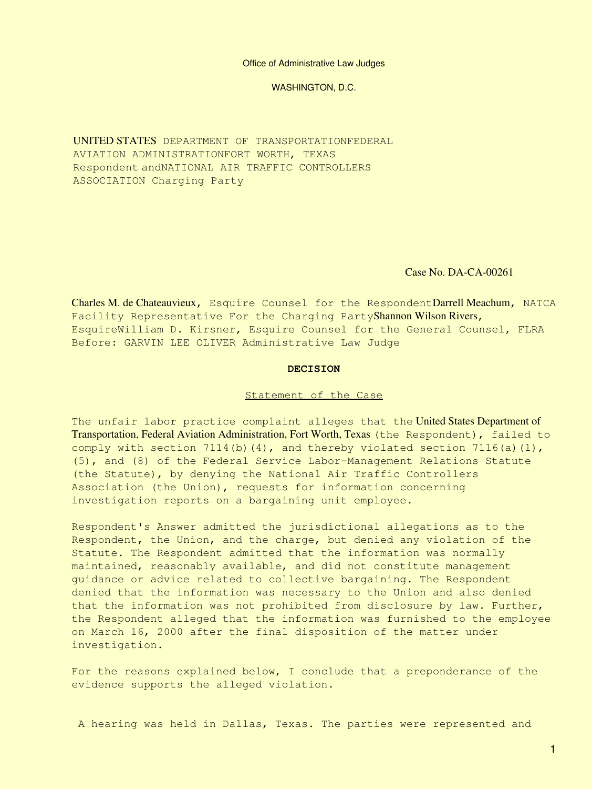Office of Administrative Law Judges

WASHINGTON, D.C.

UNITED STATES DEPARTMENT OF TRANSPORTATIONFEDERAL AVIATION ADMINISTRATIONFORT WORTH, TEXAS Respondent andNATIONAL AIR TRAFFIC CONTROLLERS ASSOCIATION Charging Party

Case No. DA-CA-00261

Charles M. de Chateauvieux, Esquire Counsel for the RespondentDarrell Meachum, NATCA Facility Representative For the Charging PartyShannon Wilson Rivers, EsquireWilliam D. Kirsner, Esquire Counsel for the General Counsel, FLRA Before: GARVIN LEE OLIVER Administrative Law Judge

#### **DECISION**

#### Statement of the Case

The unfair labor practice complaint alleges that the United States Department of Transportation, Federal Aviation Administration, Fort Worth, Texas (the Respondent), failed to comply with section 7114(b)(4), and thereby violated section 7116(a)(1), (5), and (8) of the Federal Service Labor-Management Relations Statute (the Statute), by denying the National Air Traffic Controllers Association (the Union), requests for information concerning investigation reports on a bargaining unit employee.

Respondent's Answer admitted the jurisdictional allegations as to the Respondent, the Union, and the charge, but denied any violation of the Statute. The Respondent admitted that the information was normally maintained, reasonably available, and did not constitute management guidance or advice related to collective bargaining. The Respondent denied that the information was necessary to the Union and also denied that the information was not prohibited from disclosure by law. Further, the Respondent alleged that the information was furnished to the employee on March 16, 2000 after the final disposition of the matter under investigation.

For the reasons explained below, I conclude that a preponderance of the evidence supports the alleged violation.

A hearing was held in Dallas, Texas. The parties were represented and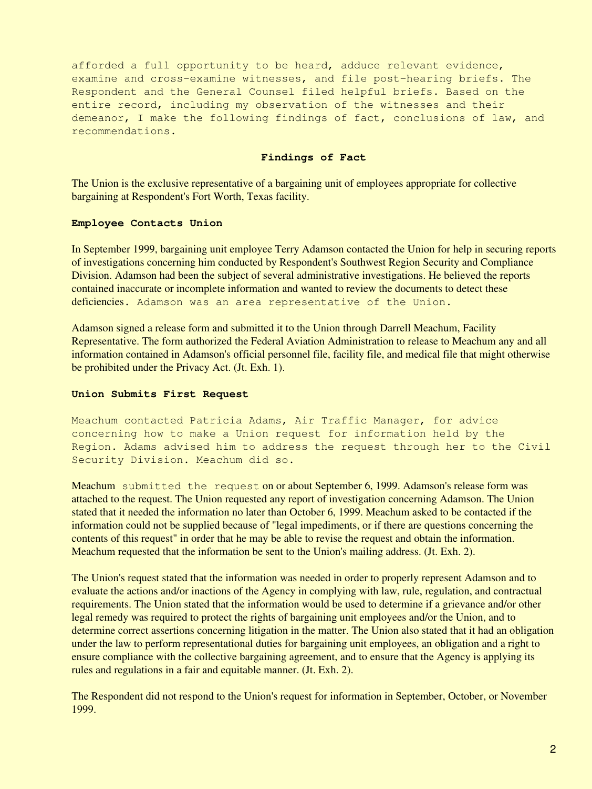afforded a full opportunity to be heard, adduce relevant evidence, examine and cross-examine witnesses, and file post-hearing briefs. The Respondent and the General Counsel filed helpful briefs. Based on the entire record, including my observation of the witnesses and their demeanor, I make the following findings of fact, conclusions of law, and recommendations.

### **Findings of Fact**

The Union is the exclusive representative of a bargaining unit of employees appropriate for collective bargaining at Respondent's Fort Worth, Texas facility.

## **Employee Contacts Union**

In September 1999, bargaining unit employee Terry Adamson contacted the Union for help in securing reports of investigations concerning him conducted by Respondent's Southwest Region Security and Compliance Division. Adamson had been the subject of several administrative investigations. He believed the reports contained inaccurate or incomplete information and wanted to review the documents to detect these deficiencies. Adamson was an area representative of the Union.

Adamson signed a release form and submitted it to the Union through Darrell Meachum, Facility Representative. The form authorized the Federal Aviation Administration to release to Meachum any and all information contained in Adamson's official personnel file, facility file, and medical file that might otherwise be prohibited under the Privacy Act. (Jt. Exh. 1).

# **Union Submits First Request**

Meachum contacted Patricia Adams, Air Traffic Manager, for advice concerning how to make a Union request for information held by the Region. Adams advised him to address the request through her to the Civil Security Division. Meachum did so.

Meachum submitted the request on or about September 6, 1999. Adamson's release form was attached to the request. The Union requested any report of investigation concerning Adamson. The Union stated that it needed the information no later than October 6, 1999. Meachum asked to be contacted if the information could not be supplied because of "legal impediments, or if there are questions concerning the contents of this request" in order that he may be able to revise the request and obtain the information. Meachum requested that the information be sent to the Union's mailing address. (Jt. Exh. 2).

The Union's request stated that the information was needed in order to properly represent Adamson and to evaluate the actions and/or inactions of the Agency in complying with law, rule, regulation, and contractual requirements. The Union stated that the information would be used to determine if a grievance and/or other legal remedy was required to protect the rights of bargaining unit employees and/or the Union, and to determine correct assertions concerning litigation in the matter. The Union also stated that it had an obligation under the law to perform representational duties for bargaining unit employees, an obligation and a right to ensure compliance with the collective bargaining agreement, and to ensure that the Agency is applying its rules and regulations in a fair and equitable manner. (Jt. Exh. 2).

The Respondent did not respond to the Union's request for information in September, October, or November 1999.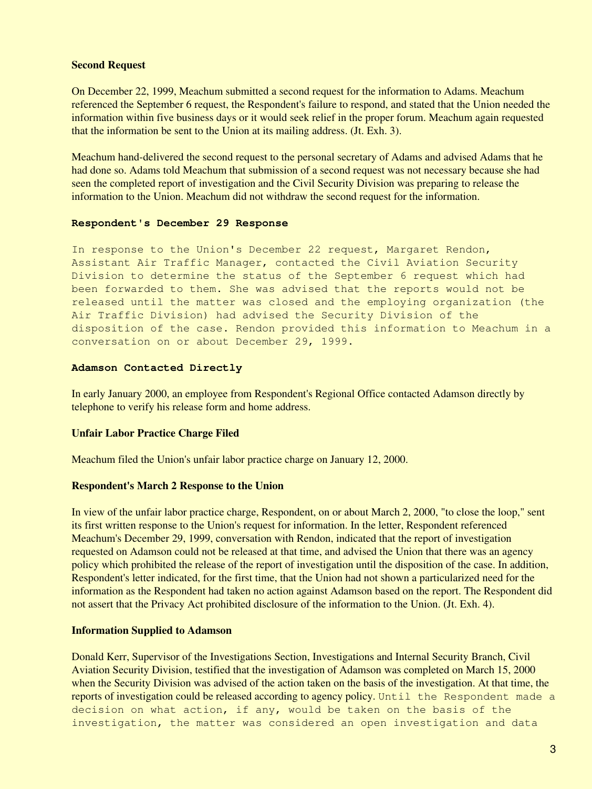### **Second Request**

On December 22, 1999, Meachum submitted a second request for the information to Adams. Meachum referenced the September 6 request, the Respondent's failure to respond, and stated that the Union needed the information within five business days or it would seek relief in the proper forum. Meachum again requested that the information be sent to the Union at its mailing address. (Jt. Exh. 3).

Meachum hand-delivered the second request to the personal secretary of Adams and advised Adams that he had done so. Adams told Meachum that submission of a second request was not necessary because she had seen the completed report of investigation and the Civil Security Division was preparing to release the information to the Union. Meachum did not withdraw the second request for the information.

#### **Respondent's December 29 Response**

In response to the Union's December 22 request, Margaret Rendon, Assistant Air Traffic Manager, contacted the Civil Aviation Security Division to determine the status of the September 6 request which had been forwarded to them. She was advised that the reports would not be released until the matter was closed and the employing organization (the Air Traffic Division) had advised the Security Division of the disposition of the case. Rendon provided this information to Meachum in a conversation on or about December 29, 1999.

## **Adamson Contacted Directly**

In early January 2000, an employee from Respondent's Regional Office contacted Adamson directly by telephone to verify his release form and home address.

# **Unfair Labor Practice Charge Filed**

Meachum filed the Union's unfair labor practice charge on January 12, 2000.

### **Respondent's March 2 Response to the Union**

In view of the unfair labor practice charge, Respondent, on or about March 2, 2000, "to close the loop," sent its first written response to the Union's request for information. In the letter, Respondent referenced Meachum's December 29, 1999, conversation with Rendon, indicated that the report of investigation requested on Adamson could not be released at that time, and advised the Union that there was an agency policy which prohibited the release of the report of investigation until the disposition of the case. In addition, Respondent's letter indicated, for the first time, that the Union had not shown a particularized need for the information as the Respondent had taken no action against Adamson based on the report. The Respondent did not assert that the Privacy Act prohibited disclosure of the information to the Union. (Jt. Exh. 4).

## **Information Supplied to Adamson**

Donald Kerr, Supervisor of the Investigations Section, Investigations and Internal Security Branch, Civil Aviation Security Division, testified that the investigation of Adamson was completed on March 15, 2000 when the Security Division was advised of the action taken on the basis of the investigation. At that time, the reports of investigation could be released according to agency policy. Until the Respondent made a decision on what action, if any, would be taken on the basis of the investigation, the matter was considered an open investigation and data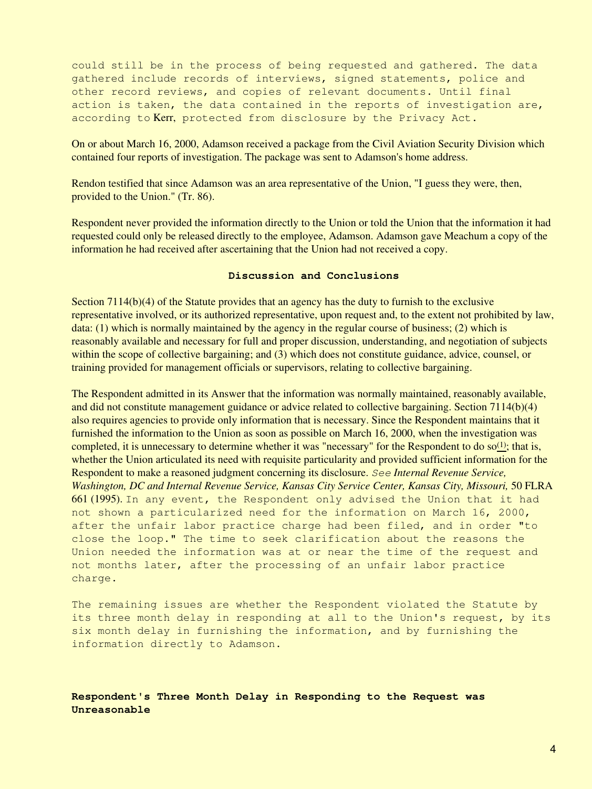could still be in the process of being requested and gathered. The data gathered include records of interviews, signed statements, police and other record reviews, and copies of relevant documents. Until final action is taken, the data contained in the reports of investigation are, according to Kerr, protected from disclosure by the Privacy Act.

On or about March 16, 2000, Adamson received a package from the Civil Aviation Security Division which contained four reports of investigation. The package was sent to Adamson's home address.

Rendon testified that since Adamson was an area representative of the Union, "I guess they were, then, provided to the Union." (Tr. 86).

Respondent never provided the information directly to the Union or told the Union that the information it had requested could only be released directly to the employee, Adamson. Adamson gave Meachum a copy of the information he had received after ascertaining that the Union had not received a copy.

#### **Discussion and Conclusions**

Section 7114(b)(4) of the Statute provides that an agency has the duty to furnish to the exclusive representative involved, or its authorized representative, upon request and, to the extent not prohibited by law, data: (1) which is normally maintained by the agency in the regular course of business; (2) which is reasonably available and necessary for full and proper discussion, understanding, and negotiation of subjects within the scope of collective bargaining; and (3) which does not constitute guidance, advice, counsel, or training provided for management officials or supervisors, relating to collective bargaining.

The Respondent admitted in its Answer that the information was normally maintained, reasonably available, and did not constitute management guidance or advice related to collective bargaining. Section 7114(b)(4) also requires agencies to provide only information that is necessary. Since the Respondent maintains that it furnished the information to the Union as soon as possible on March 16, 2000, when the investigation was completed, it is unnecessary to determine whether it was "necessary" for the Respondent to do so $\frac{1}{1}$ ; that is, whether the Union articulated its need with requisite particularity and provided sufficient information for the Respondent to make a reasoned judgment concerning its disclosure. *See Internal Revenue Service, Washington, DC and Internal Revenue Service, Kansas City Service Center, Kansas City, Missouri,* 50 FLRA 661 (1995). In any event, the Respondent only advised the Union that it had not shown a particularized need for the information on March 16, 2000, after the unfair labor practice charge had been filed, and in order "to close the loop." The time to seek clarification about the reasons the Union needed the information was at or near the time of the request and not months later, after the processing of an unfair labor practice charge.

The remaining issues are whether the Respondent violated the Statute by its three month delay in responding at all to the Union's request, by its six month delay in furnishing the information, and by furnishing the information directly to Adamson.

# **Respondent's Three Month Delay in Responding to the Request was Unreasonable**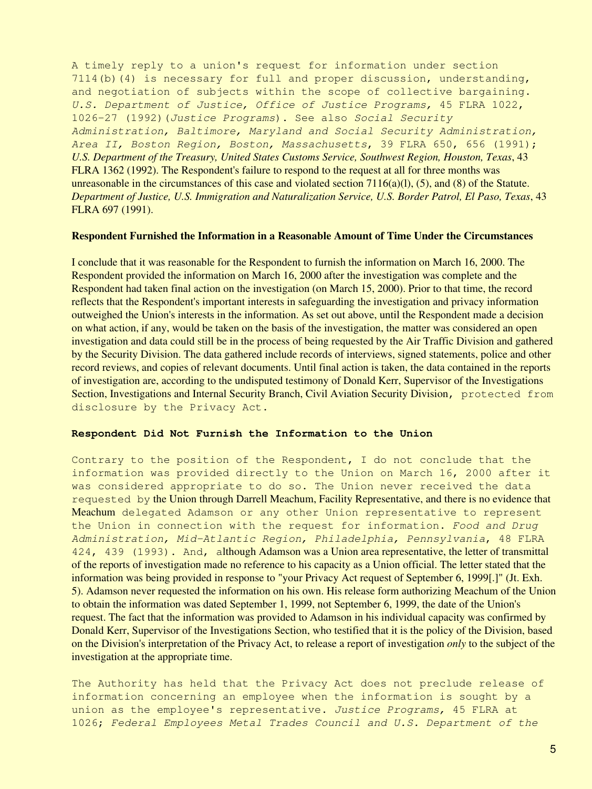A timely reply to a union's request for information under section 7114(b)(4) is necessary for full and proper discussion, understanding, and negotiation of subjects within the scope of collective bargaining. *U.S. Department of Justice, Office of Justice Programs,* 45 FLRA 1022, 1026-27 (1992)(*Justice Programs*). See also *Social Security Administration, Baltimore, Maryland and Social Security Administration, Area II, Boston Region, Boston, Massachusetts*, 39 FLRA 650, 656 (1991); *U.S. Department of the Treasury, United States Customs Service, Southwest Region, Houston, Texas*, 43 FLRA 1362 (1992). The Respondent's failure to respond to the request at all for three months was unreasonable in the circumstances of this case and violated section  $7116(a)(1)$ , (5), and (8) of the Statute. *Department of Justice, U.S. Immigration and Naturalization Service, U.S. Border Patrol, El Paso, Texas*, 43 FLRA 697 (1991).

## **Respondent Furnished the Information in a Reasonable Amount of Time Under the Circumstances**

I conclude that it was reasonable for the Respondent to furnish the information on March 16, 2000. The Respondent provided the information on March 16, 2000 after the investigation was complete and the Respondent had taken final action on the investigation (on March 15, 2000). Prior to that time, the record reflects that the Respondent's important interests in safeguarding the investigation and privacy information outweighed the Union's interests in the information. As set out above, until the Respondent made a decision on what action, if any, would be taken on the basis of the investigation, the matter was considered an open investigation and data could still be in the process of being requested by the Air Traffic Division and gathered by the Security Division. The data gathered include records of interviews, signed statements, police and other record reviews, and copies of relevant documents. Until final action is taken, the data contained in the reports of investigation are, according to the undisputed testimony of Donald Kerr, Supervisor of the Investigations Section, Investigations and Internal Security Branch, Civil Aviation Security Division, protected from disclosure by the Privacy Act.

### **Respondent Did Not Furnish the Information to the Union**

Contrary to the position of the Respondent, I do not conclude that the information was provided directly to the Union on March 16, 2000 after it was considered appropriate to do so. The Union never received the data requested by the Union through Darrell Meachum, Facility Representative, and there is no evidence that Meachum delegated Adamson or any other Union representative to represent the Union in connection with the request for information. *Food and Drug Administration, Mid-Atlantic Region, Philadelphia, Pennsylvania*, 48 FLRA 424, 439 (1993). And, although Adamson was a Union area representative, the letter of transmittal of the reports of investigation made no reference to his capacity as a Union official. The letter stated that the information was being provided in response to "your Privacy Act request of September 6, 1999[.]" (Jt. Exh. 5). Adamson never requested the information on his own. His release form authorizing Meachum of the Union to obtain the information was dated September 1, 1999, not September 6, 1999, the date of the Union's request. The fact that the information was provided to Adamson in his individual capacity was confirmed by Donald Kerr, Supervisor of the Investigations Section, who testified that it is the policy of the Division, based on the Division's interpretation of the Privacy Act, to release a report of investigation *only* to the subject of the investigation at the appropriate time.

The Authority has held that the Privacy Act does not preclude release of information concerning an employee when the information is sought by a union as the employee's representative. *Justice Programs,* 45 FLRA at 1026; *Federal Employees Metal Trades Council and U.S. Department of the*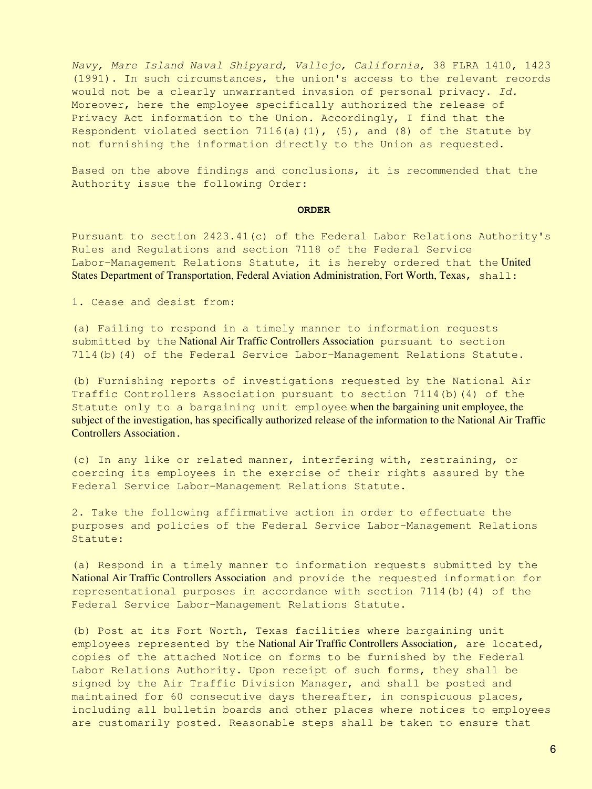*Navy, Mare Island Naval Shipyard, Vallejo, California*, 38 FLRA 1410, 1423 (1991). In such circumstances, the union's access to the relevant records would not be a clearly unwarranted invasion of personal privacy. *Id.* Moreover, here the employee specifically authorized the release of Privacy Act information to the Union. Accordingly, I find that the Respondent violated section  $7116(a)(1)$ , (5), and (8) of the Statute by not furnishing the information directly to the Union as requested.

Based on the above findings and conclusions, it is recommended that the Authority issue the following Order:

#### **ORDER**

Pursuant to section 2423.41(c) of the Federal Labor Relations Authority's Rules and Regulations and section 7118 of the Federal Service Labor-Management Relations Statute, it is hereby ordered that the United States Department of Transportation, Federal Aviation Administration, Fort Worth, Texas, shall:

1. Cease and desist from:

(a) Failing to respond in a timely manner to information requests submitted by the National Air Traffic Controllers Association pursuant to section 7114(b)(4) of the Federal Service Labor-Management Relations Statute.

(b) Furnishing reports of investigations requested by the National Air Traffic Controllers Association pursuant to section 7114(b)(4) of the Statute only to a bargaining unit employee when the bargaining unit employee, the subject of the investigation, has specifically authorized release of the information to the National Air Traffic Controllers Association.

(c) In any like or related manner, interfering with, restraining, or coercing its employees in the exercise of their rights assured by the Federal Service Labor-Management Relations Statute.

2. Take the following affirmative action in order to effectuate the purposes and policies of the Federal Service Labor-Management Relations Statute:

(a) Respond in a timely manner to information requests submitted by the National Air Traffic Controllers Association and provide the requested information for representational purposes in accordance with section 7114(b)(4) of the Federal Service Labor-Management Relations Statute.

(b) Post at its Fort Worth, Texas facilities where bargaining unit employees represented by the National Air Traffic Controllers Association, are located, copies of the attached Notice on forms to be furnished by the Federal Labor Relations Authority. Upon receipt of such forms, they shall be signed by the Air Traffic Division Manager, and shall be posted and maintained for 60 consecutive days thereafter, in conspicuous places, including all bulletin boards and other places where notices to employees are customarily posted. Reasonable steps shall be taken to ensure that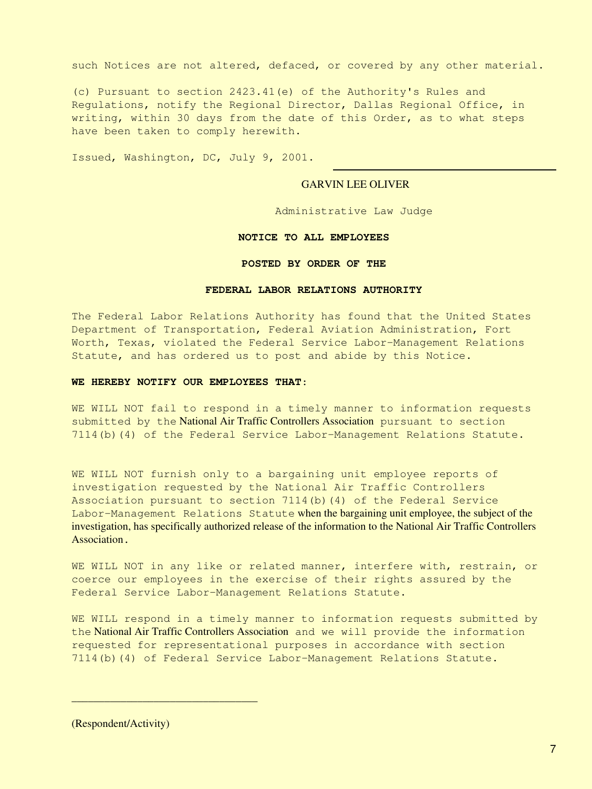such Notices are not altered, defaced, or covered by any other material.

(c) Pursuant to section 2423.41(e) of the Authority's Rules and Regulations, notify the Regional Director, Dallas Regional Office, in writing, within 30 days from the date of this Order, as to what steps have been taken to comply herewith.

Issued, Washington, DC, July 9, 2001.

### GARVIN LEE OLIVER

Administrative Law Judge

#### **NOTICE TO ALL EMPLOYEES**

#### **POSTED BY ORDER OF THE**

#### **FEDERAL LABOR RELATIONS AUTHORITY**

The Federal Labor Relations Authority has found that the United States Department of Transportation, Federal Aviation Administration, Fort Worth, Texas, violated the Federal Service Labor-Management Relations Statute, and has ordered us to post and abide by this Notice.

#### **WE HEREBY NOTIFY OUR EMPLOYEES THAT**:

WE WILL NOT fail to respond in a timely manner to information requests submitted by the National Air Traffic Controllers Association pursuant to section 7114(b)(4) of the Federal Service Labor-Management Relations Statute.

WE WILL NOT furnish only to a bargaining unit employee reports of investigation requested by the National Air Traffic Controllers Association pursuant to section 7114(b)(4) of the Federal Service Labor-Management Relations Statute when the bargaining unit employee, the subject of the investigation, has specifically authorized release of the information to the National Air Traffic Controllers Association.

WE WILL NOT in any like or related manner, interfere with, restrain, or coerce our employees in the exercise of their rights assured by the Federal Service Labor-Management Relations Statute.

WE WILL respond in a timely manner to information requests submitted by the National Air Traffic Controllers Association and we will provide the information requested for representational purposes in accordance with section 7114(b)(4) of Federal Service Labor-Management Relations Statute.

(Respondent/Activity)

\_\_\_\_\_\_\_\_\_\_\_\_\_\_\_\_\_\_\_\_\_\_\_\_\_\_\_\_\_\_\_\_\_\_